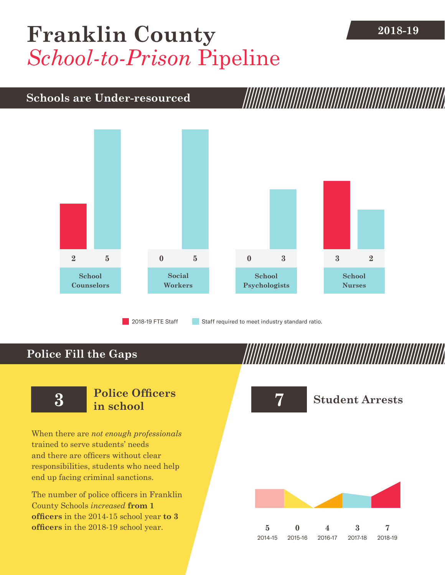# **2018-19 [Franklin County](DBF_County)** *School-to-Prison* Pipeline

## **Schools are Under-resourced**



2018-19 FTE Staff **Staff required to meet industry standard ratio.** 

## **Police Fill the Gaps**

When there are *not enough professionals* trained to serve students' needs and there are officers without clear responsibilities, students who need help end up facing criminal sanctions.

The number of police officers in [Franklin](DBF_County)  [County](DBF_County) Schools *increased* **from [1](DBF_PO1415) officers** in the 2014-15 school year **to [3](DBF_PO) officers** in the 2018-19 school year.